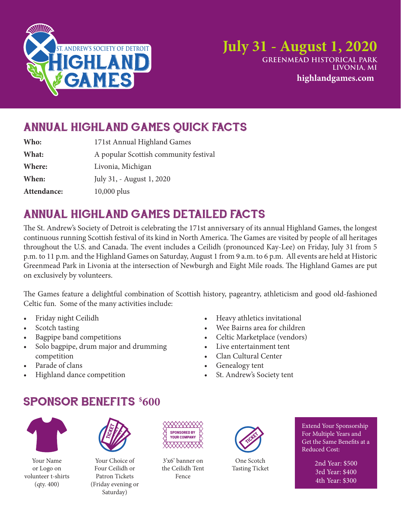

# **July 31 - August 1, 2020**

**GREENMEAD HISTORICAL PARK LIVONIA, MI highlandgames.com**

### ANNUAL HIGHLAND GAMES QUICK FACTS

| Who:        | 171st Annual Highland Games           |  |
|-------------|---------------------------------------|--|
| What:       | A popular Scottish community festival |  |
| Where:      | Livonia, Michigan                     |  |
| When:       | July 31, - August 1, 2020             |  |
| Attendance: | $10,000$ plus                         |  |

## ANNUAL HIGHLAND GAMES DETAILED FACTS

The St. Andrew's Society of Detroit is celebrating the 171st anniversary of its annual Highland Games, the longest continuous running Scottish festival of its kind in North America. The Games are visited by people of all heritages throughout the U.S. and Canada. The event includes a Ceilidh (pronounced Kay-Lee) on Friday, July 31 from 5 p.m. to 11 p.m. and the Highland Games on Saturday, August 1 from 9 a.m. to 6 p.m. All events are held at Historic Greenmead Park in Livonia at the intersection of Newburgh and Eight Mile roads. The Highland Games are put on exclusively by volunteers.

The Games feature a delightful combination of Scottish history, pageantry, athleticism and good old-fashioned Celtic fun. Some of the many activities include:

- Friday night Ceilidh
- Scotch tasting
- Bagpipe band competitions
- Solo bagpipe, drum major and drumming competition
- Parade of clans
- Highland dance competition
- Heavy athletics invitational
- Wee Bairns area for children
- Celtic Marketplace (vendors)
- Live entertainment tent
- Clan Cultural Center
- Genealogy tent
- St. Andrew's Society tent

#### SPONSOR BENEFITS **\$ 600**



Your Name or Logo on volunteer t-shirts (qty. 400)



Your Choice of Four Ceilidh or Patron Tickets (Friday evening or Saturday)



3'x6' banner on the Ceilidh Tent Fence



One Scotch

Extend Your Sponsorship For Multiple Years and Get the Same Benefits at a Reduced Cost:

One Scotch<br>
Tasting Ticket<br>
2008 2013 3rd Year: \$400 4th Year: \$300